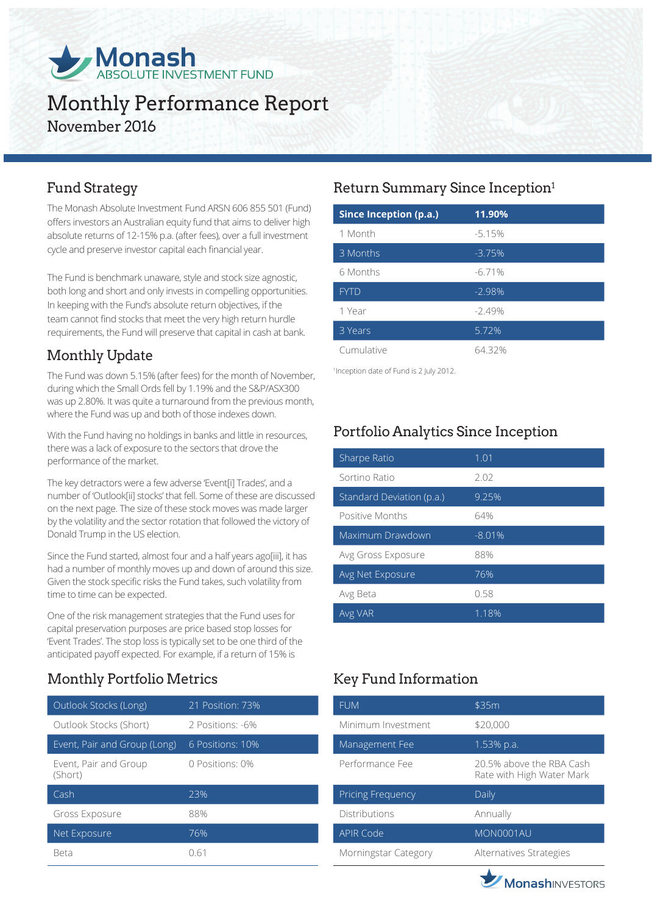

# Monthly Performance Report November 2016

The Monash Absolute Investment Fund ARSN 606 855 501 (Fund) offers investors an Australian equity fund that aims to deliver high absolute returns of 12-15% p.a. (after fees), over a full investment cycle and preserve investor capital each financial year.

The Fund is benchmark unaware, style and stock size agnostic, both long and short and only invests in compelling opportunities. In keeping with the Fund's absolute return objectives, if the team cannot find stocks that meet the very high return hurdle requirements, the Fund will preserve that capital in cash at bank.

# Monthly Update

The Fund was down 5.15% (after fees) for the month of November, during which the Small Ords fell by 1.19% and the S&P/ASX300 was up 2.80%. It was quite a turnaround from the previous month, where the Fund was up and both of those indexes down.

With the Fund having no holdings in banks and little in resources, there was a lack of exposure to the sectors that drove the performance of the market.

The key detractors were a few adverse 'Event[i] Trades', and a number of 'Outlook[ii] stocks' that fell. Some of these are discussed on the next page. The size of these stock moves was made larger by the volatility and the sector rotation that followed the victory of Donald Trump in the US election.

Since the Fund started, almost four and a half years ago[iii], it has had a number of monthly moves up and down of around this size. Given the stock specific risks the Fund takes, such volatility from time to time can be expected.

One of the risk management strategies that the Fund uses for capital preservation purposes are price based stop losses for 'Event Trades'. The stop loss is typically set to be one third of the anticipated payoff expected. For example, if a return of 15% is

# Monthly Portfolio Metrics Key Fund Information

| Outlook Stocks (Long)            | 21 Position: 73% |
|----------------------------------|------------------|
| Outlook Stocks (Short)           | 2 Positions: -6% |
| Event, Pair and Group (Long)     | 6 Positions: 10% |
| Event, Pair and Group<br>(Short) | 0 Positions: 0%  |
| Cash                             | 23%              |
| Gross Exposure                   | 88%              |
| Net Exposure                     | 76%              |
| Reta                             | N 61             |

# Fund Strategy **Return Summary Since Inception**<sup>1</sup>

| <b>Since Inception (p.a.)</b> | 11.90%   |
|-------------------------------|----------|
| 1 Month                       | $-5.15%$ |
| 3 Months                      | $-3.75%$ |
| 6 Months                      | $-6.71%$ |
| <b>FYTD</b>                   | $-2.98%$ |
| 1 Year                        | $-2.49%$ |
| 3 Years                       | 5.72%    |
| Cumulative                    | 64.32%   |

1 Inception date of Fund is 2 July 2012.

# Portfolio Analytics Since Inception

| Sharpe Ratio              | 1.01     |
|---------------------------|----------|
| Sortino Ratio             | 2.02     |
| Standard Deviation (p.a.) | 9.25%    |
| Positive Months           | 64%      |
| Maximum Drawdown          | $-8.01%$ |
| Avg Gross Exposure        | 88%      |
| Avg Net Exposure          | 76%      |
| Avg Beta                  | 0.58     |
| Avg VAR                   | 1.18%    |

| <b>FUM</b>               | \$35m                                                 |
|--------------------------|-------------------------------------------------------|
| Minimum Investment       | \$20,000                                              |
| Management Fee           | 1.53% p.a.                                            |
| Performance Fee          | 20.5% above the RBA Cash<br>Rate with High Water Mark |
|                          |                                                       |
| <b>Pricing Frequency</b> | Daily                                                 |
| <b>Distributions</b>     | Annually                                              |
| <b>APIR Code</b>         | MON0001AU                                             |

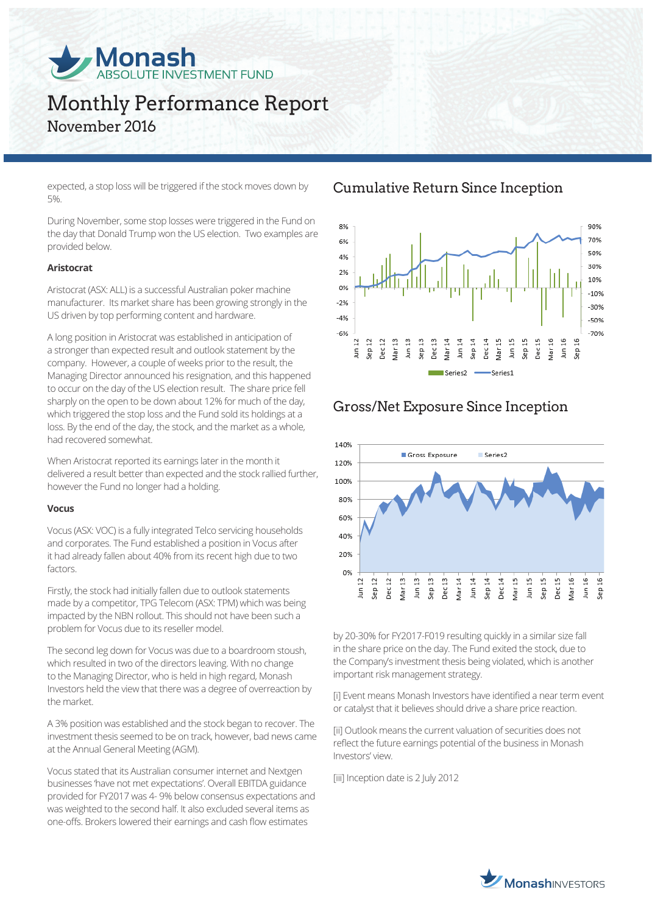

# Monthly Performance Report November 2016

expected, a stop loss will be triggered if the stock moves down by 5%.

During November, some stop losses were triggered in the Fund on the day that Donald Trump won the US election. Two examples are provided below.

#### **Aristocrat**

Aristocrat (ASX: ALL) is a successful Australian poker machine manufacturer. Its market share has been growing strongly in the US driven by top performing content and hardware.

A long position in Aristocrat was established in anticipation of a stronger than expected result and outlook statement by the company. However, a couple of weeks prior to the result, the Managing Director announced his resignation, and this happened to occur on the day of the US election result. The share price fell sharply on the open to be down about 12% for much of the day, which triggered the stop loss and the Fund sold its holdings at a loss. By the end of the day, the stock, and the market as a whole, had recovered somewhat.

When Aristocrat reported its earnings later in the month it delivered a result better than expected and the stock rallied further, however the Fund no longer had a holding.

#### **Vocus**

Vocus (ASX: VOC) is a fully integrated Telco servicing households and corporates. The Fund established a position in Vocus after it had already fallen about 40% from its recent high due to two factors.

Firstly, the stock had initially fallen due to outlook statements made by a competitor, TPG Telecom (ASX: TPM) which was being impacted by the NBN rollout. This should not have been such a problem for Vocus due to its reseller model.

The second leg down for Vocus was due to a boardroom stoush, which resulted in two of the directors leaving. With no change to the Managing Director, who is held in high regard, Monash Investors held the view that there was a degree of overreaction by the market.

A 3% position was established and the stock began to recover. The investment thesis seemed to be on track, however, bad news came at the Annual General Meeting (AGM).

Vocus stated that its Australian consumer internet and Nextgen businesses 'have not met expectations'. Overall EBITDA guidance provided for FY2017 was 4- 9% below consensus expectations and was weighted to the second half. It also excluded several items as one-offs. Brokers lowered their earnings and cash flow estimates

### Cumulative Return Since Inception



### Gross/Net Exposure Since Inception



by 20-30% for FY2017-F019 resulting quickly in a similar size fall in the share price on the day. The Fund exited the stock, due to the Company's investment thesis being violated, which is another important risk management strategy.

[i] Event means Monash Investors have identified a near term event or catalyst that it believes should drive a share price reaction.

[ii] Outlook means the current valuation of securities does not reflect the future earnings potential of the business in Monash Investors' view.

[iii] Inception date is 2 July 2012